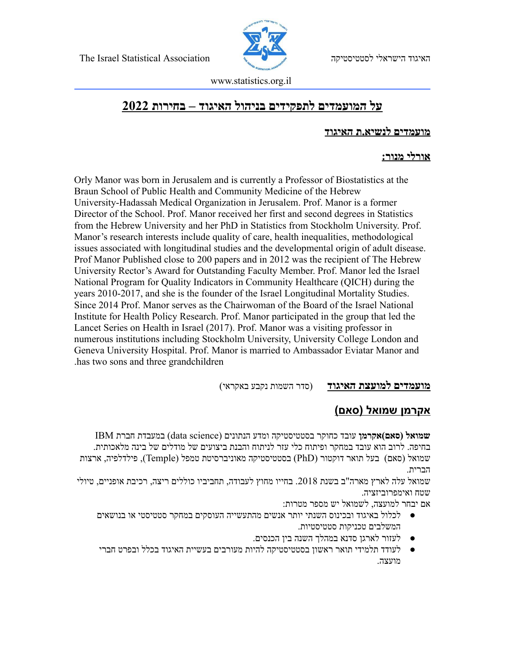The Israel Statistical Association לסטטיסטיקה הישראלי האיגוד



www.statistics.org.il

# **על המועמדים לתפקידים בניהול האיגוד – בחירות 2022**

#### **מועמדים לנשיא.ת האיגוד**

#### **אורלי מנור:**

Orly Manor was born in Jerusalem and is currently a Professor of Biostatistics at the Braun School of Public Health and Community Medicine of the Hebrew University-Hadassah Medical Organization in Jerusalem. Prof. Manor is a former Director of the School. Prof. Manor received her first and second degrees in Statistics from the Hebrew University and her PhD in Statistics from Stockholm University. Prof. Manor's research interests include quality of care, health inequalities, methodological issues associated with longitudinal studies and the developmental origin of adult disease. Prof Manor Published close to 200 papers and in 2012 was the recipient of The Hebrew University Rector's Award for Outstanding Faculty Member. Prof. Manor led the Israel National Program for Quality Indicators in Community Healthcare (QICH) during the years 2010-2017, and she is the founder of the Israel Longitudinal Mortality Studies. Since 2014 Prof. Manor serves as the Chairwoman of the Board of the Israel National Institute for Health Policy Research. Prof. Manor participated in the group that led the Lancet Series on Health in Israel (2017). Prof. Manor was a visiting professor in numerous institutions including Stockholm University, University College London and Geneva University Hospital. Prof. Manor is married to Ambassador Eviatar Manor and .has two sons and three grandchildren

**מועמדים למועצת האיגוד** )סדר השמות נקבע באקראי(

# **אקרמן שמואל )סאם(**

**שמואל )סאם(אקרמן** עובד כחוקר בסטטיסטיקה ומדע הנתונים )science data )במעבדת חברת IBM בחיפה. לרוב הוא עובד במחקר ופיתוח כלי עזר לניתוח והבנת ביצועים של מודלים של בינה מלאכותית. שמואל )סאם( בעל תואר דוקטור )PhD )בסטטיסטיקה מאוניברסיטת טמפל )Temple), פילדלפיה, ארצות הברית.

שמואל עלה לארץ מארה"ב בשנת 2018. בחייו מחוץ לעבודה, תחביביו כוללים ריצה, רכיבת אופניים, טיולי שטח ואימפרוביזציה.

אם יבחר למועצה, לשמואל יש מספר מטרות:

- לכלול באיגוד ובכינוס השנתי יותר אנשים מהתעשייה העוסקים במחקר סטטיסטי או בנושאים המשלבים טכניקות סטטיסטיות.
	- לעזור לארגן סדנא במהלך השנה בין הכנסים.
- לעודד תלמידי תואר ראשון בסטטיסטיקה להיות מעורבים בעשיית האיגוד בכלל ובפרט חברי מועצה.